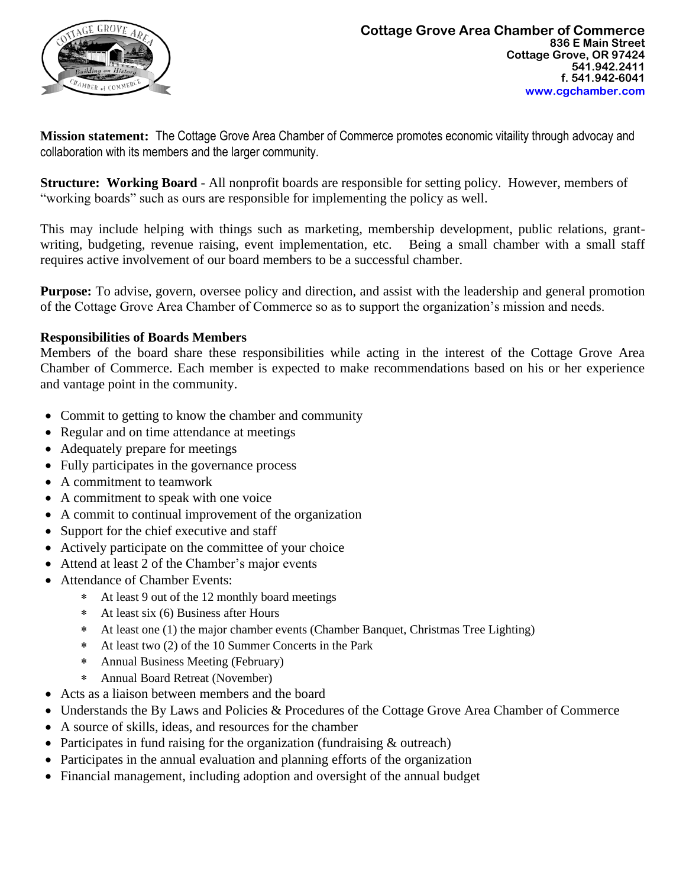

**Mission statement:** The Cottage Grove Area Chamber of Commerce promotes economic vitaility through advocay and collaboration with its members and the larger community.

**Structure: Working Board** - All nonprofit boards are responsible for setting policy. However, members of "working boards" such as ours are responsible for implementing the policy as well.

This may include helping with things such as marketing, membership development, public relations, grantwriting, budgeting, revenue raising, event implementation, etc. Being a small chamber with a small staff requires active involvement of our board members to be a successful chamber.

**Purpose:** To advise, govern, oversee policy and direction, and assist with the leadership and general promotion of the Cottage Grove Area Chamber of Commerce so as to support the organization's mission and needs.

### **Responsibilities of Boards Members**

Members of the board share these responsibilities while acting in the interest of the Cottage Grove Area Chamber of Commerce. Each member is expected to make recommendations based on his or her experience and vantage point in the community.

- Commit to getting to know the chamber and community
- Regular and on time attendance at meetings
- Adequately prepare for meetings
- Fully participates in the governance process
- A commitment to teamwork
- A commitment to speak with one voice
- A commit to continual improvement of the organization
- Support for the chief executive and staff
- Actively participate on the committee of your choice
- Attend at least 2 of the Chamber's major events
- Attendance of Chamber Events:
	- At least 9 out of the 12 monthly board meetings
	- At least six (6) Business after Hours
	- At least one (1) the major chamber events (Chamber Banquet, Christmas Tree Lighting)
	- At least two (2) of the 10 Summer Concerts in the Park
	- Annual Business Meeting (February)
	- Annual Board Retreat (November)
- Acts as a liaison between members and the board
- Understands the By Laws and Policies & Procedures of the Cottage Grove Area Chamber of Commerce
- A source of skills, ideas, and resources for the chamber
- Participates in fund raising for the organization (fundraising & outreach)
- Participates in the annual evaluation and planning efforts of the organization
- Financial management, including adoption and oversight of the annual budget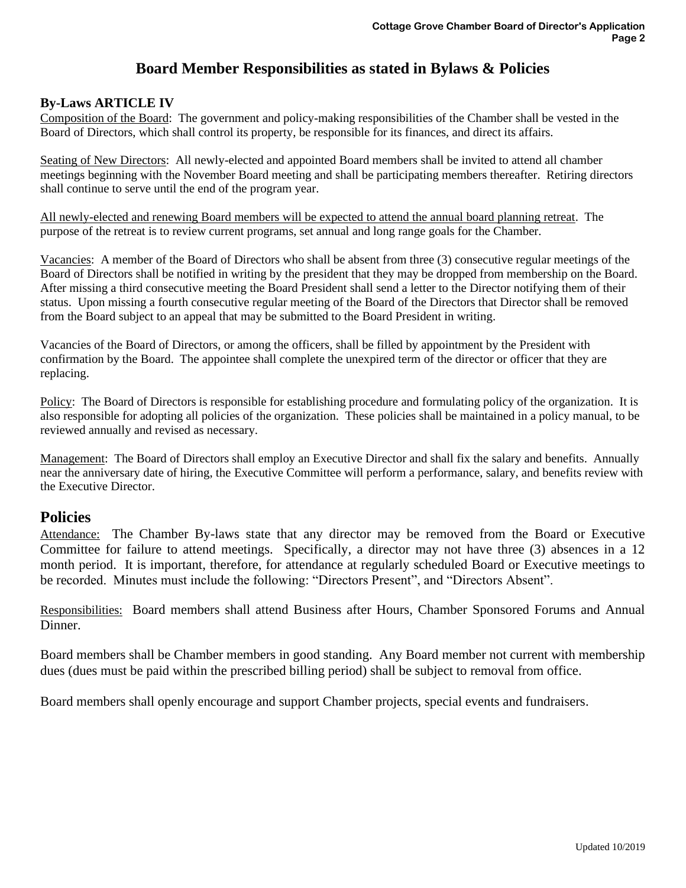# **Board Member Responsibilities as stated in Bylaws & Policies**

#### **By-Laws ARTICLE IV**

Composition of the Board: The government and policy-making responsibilities of the Chamber shall be vested in the Board of Directors, which shall control its property, be responsible for its finances, and direct its affairs.

Seating of New Directors: All newly-elected and appointed Board members shall be invited to attend all chamber meetings beginning with the November Board meeting and shall be participating members thereafter. Retiring directors shall continue to serve until the end of the program year.

All newly-elected and renewing Board members will be expected to attend the annual board planning retreat. The purpose of the retreat is to review current programs, set annual and long range goals for the Chamber.

Vacancies: A member of the Board of Directors who shall be absent from three (3) consecutive regular meetings of the Board of Directors shall be notified in writing by the president that they may be dropped from membership on the Board. After missing a third consecutive meeting the Board President shall send a letter to the Director notifying them of their status. Upon missing a fourth consecutive regular meeting of the Board of the Directors that Director shall be removed from the Board subject to an appeal that may be submitted to the Board President in writing.

Vacancies of the Board of Directors, or among the officers, shall be filled by appointment by the President with confirmation by the Board. The appointee shall complete the unexpired term of the director or officer that they are replacing.

Policy: The Board of Directors is responsible for establishing procedure and formulating policy of the organization. It is also responsible for adopting all policies of the organization. These policies shall be maintained in a policy manual, to be reviewed annually and revised as necessary.

Management: The Board of Directors shall employ an Executive Director and shall fix the salary and benefits. Annually near the anniversary date of hiring, the Executive Committee will perform a performance, salary, and benefits review with the Executive Director.

## **Policies**

Attendance: The Chamber By-laws state that any director may be removed from the Board or Executive Committee for failure to attend meetings. Specifically, a director may not have three (3) absences in a 12 month period. It is important, therefore, for attendance at regularly scheduled Board or Executive meetings to be recorded. Minutes must include the following: "Directors Present", and "Directors Absent".

Responsibilities: Board members shall attend Business after Hours, Chamber Sponsored Forums and Annual Dinner.

Board members shall be Chamber members in good standing. Any Board member not current with membership dues (dues must be paid within the prescribed billing period) shall be subject to removal from office.

Board members shall openly encourage and support Chamber projects, special events and fundraisers.